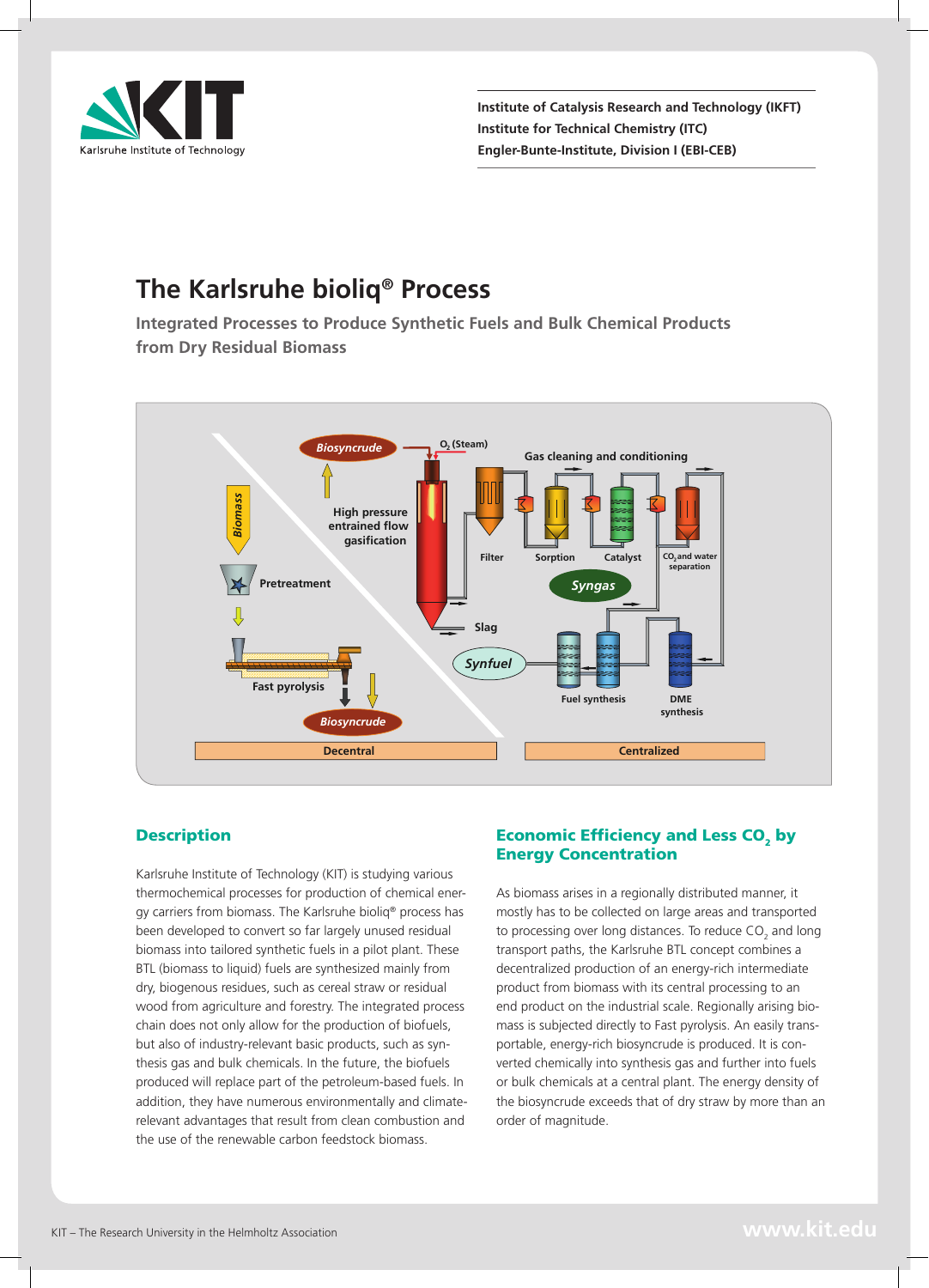

**Institute of Catalysis Research and Technology (IKFT) Institute for Technical Chemistry (ITC) Engler-Bunte-Institute, Division I (EBI-CEB)**

# **The Karlsruhe bioliq® Process**

**Integrated Processes to Produce Synthetic Fuels and Bulk Chemical Products from Dry Residual Biomass**



## **Description**

Karlsruhe Institute of Technology (KIT) is studying various thermochemical processes for production of chemical energy carriers from biomass. The Karlsruhe bioliq® process has been developed to convert so far largely unused residual biomass into tailored synthetic fuels in a pilot plant. These BTL (biomass to liquid) fuels are synthesized mainly from dry, biogenous residues, such as cereal straw or residual wood from agriculture and forestry. The integrated process chain does not only allow for the production of biofuels, but also of industry-relevant basic products, such as synthesis gas and bulk chemicals. In the future, the biofuels produced will replace part of the petroleum-based fuels. In addition, they have numerous environmentally and climaterelevant advantages that result from clean combustion and the use of the renewable carbon feedstock biomass.

## Economic Efficiency and Less CO<sub>2</sub> by Energy Concentration

As biomass arises in a regionally distributed manner, it mostly has to be collected on large areas and transported to processing over long distances. To reduce  $CO_2$  and long transport paths, the Karlsruhe BTL concept combines a decentralized production of an energy-rich intermediate product from biomass with its central processing to an end product on the industrial scale. Regionally arising biomass is subjected directly to Fast pyrolysis. An easily transportable, energy-rich biosyncrude is produced. It is converted chemically into synthesis gas and further into fuels or bulk chemicals at a central plant. The energy density of the biosyncrude exceeds that of dry straw by more than an order of magnitude.